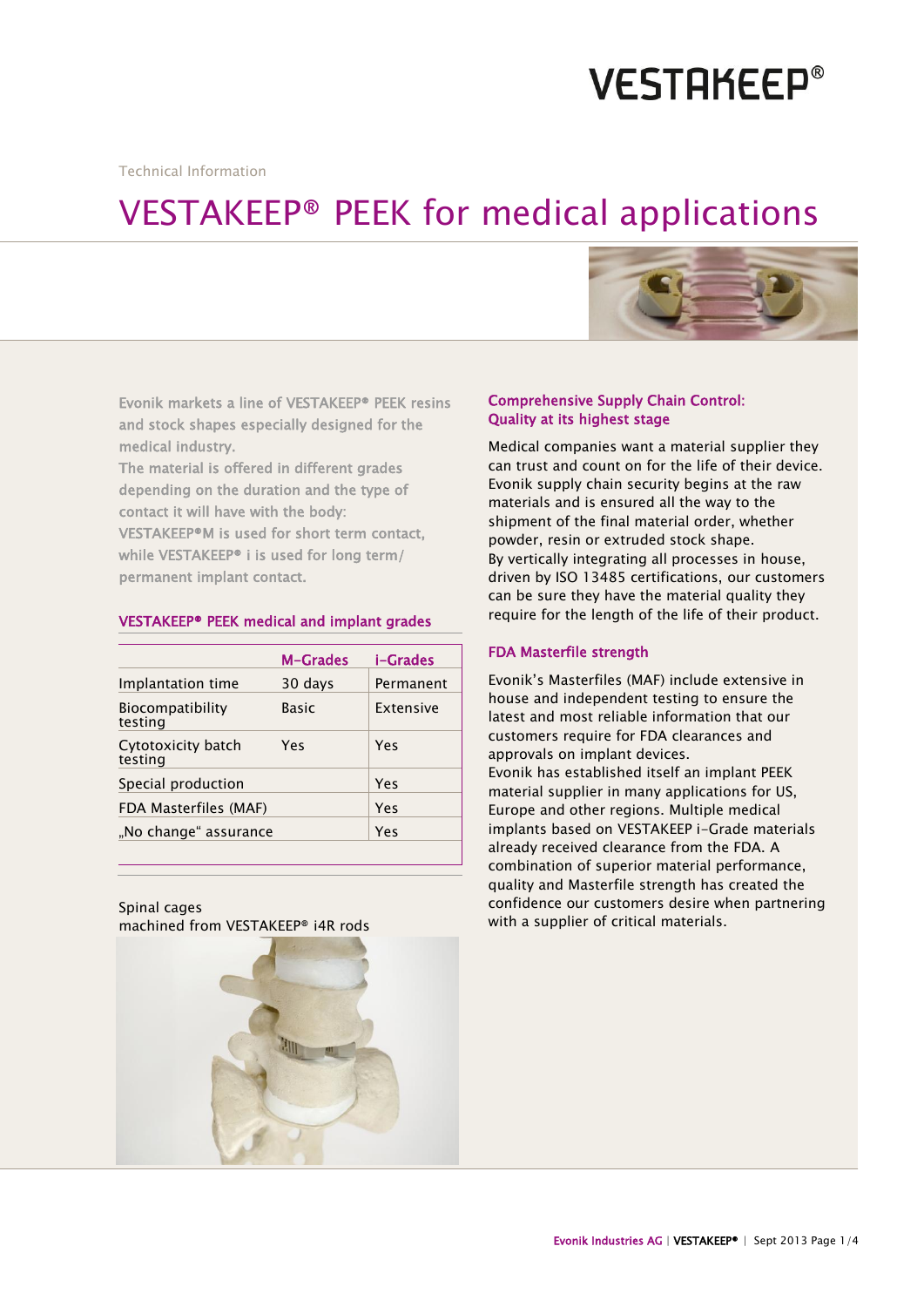# **VESTAKEEP®**

Technical Information

# VESTAKEEP® PEEK for medical applications



Evonik markets a line of VESTAKEEP® PEEK resins and stock shapes especially designed for the medical industry.

The material is offered in different grades depending on the duration and the type of contact it will have with the body: VESTAKEEP®M is used for short term contact, while VESTAKEEP® i is used for long term/ permanent implant contact.

# VESTAKEEP® PEEK medical and implant grades

|                               | <b>M-Grades</b> | i-Grades  |
|-------------------------------|-----------------|-----------|
| Implantation time             | 30 days         | Permanent |
| Biocompatibility<br>testing   | Basic           | Extensive |
| Cytotoxicity batch<br>testing | Yes             | Yes       |
| Special production            |                 | Yes       |
| FDA Masterfiles (MAF)         |                 | Yes       |
| "No change" assurance         |                 | Yes       |

Spinal cages machined from VESTAKEEP® i4R rods

#### Comprehensive Supply Chain Control: Quality at its highest stage

Medical companies want a material supplier they can trust and count on for the life of their device. Evonik supply chain security begins at the raw materials and is ensured all the way to the shipment of the final material order, whether powder, resin or extruded stock shape. By vertically integrating all processes in house, driven by ISO 13485 certifications, our customers can be sure they have the material quality they require for the length of the life of their product.

## FDA Masterfile strength

Evonik's Masterfiles (MAF) include extensive in house and independent testing to ensure the latest and most reliable information that our customers require for FDA clearances and approvals on implant devices. Evonik has established itself an implant PEEK material supplier in many applications for US, Europe and other regions. Multiple medical implants based on VESTAKEEP i-Grade materials already received clearance from the FDA. A combination of superior material performance, quality and Masterfile strength has created the confidence our customers desire when partnering with a supplier of critical materials.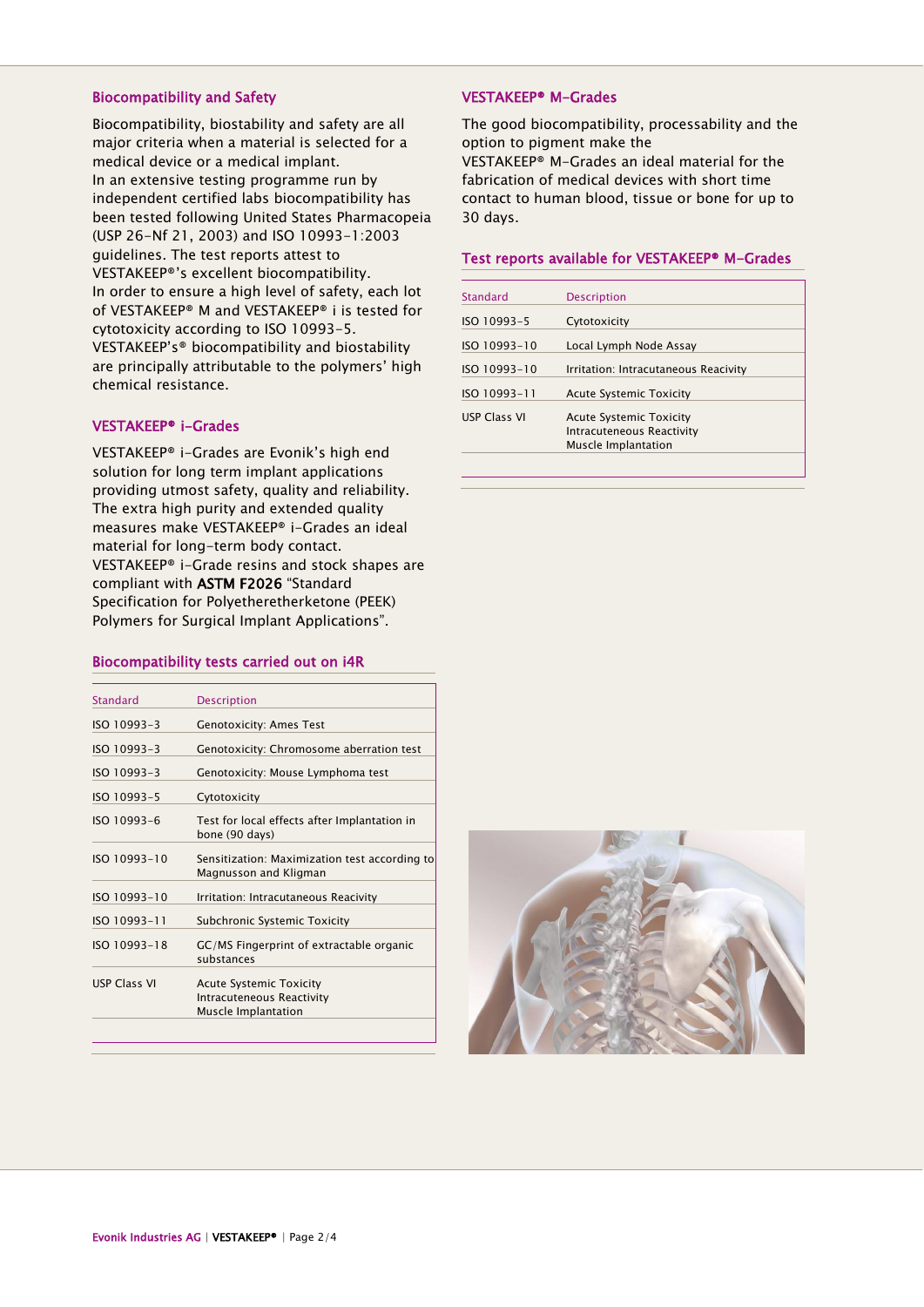#### Biocompatibility and Safety

Biocompatibility, biostability and safety are all major criteria when a material is selected for a medical device or a medical implant. In an extensive testing programme run by independent certified labs biocompatibility has been tested following United States Pharmacopeia (USP 26-Nf 21, 2003) and ISO 10993-1:2003 guidelines. The test reports attest to VESTAKEEP®'s excellent biocompatibility. In order to ensure a high level of safety, each lot of VESTAKEEP® M and VESTAKEEP® i is tested for cytotoxicity according to ISO 10993-5. VESTAKEEP's® biocompatibility and biostability are principally attributable to the polymers' high chemical resistance.

#### VESTAKEEP® i-Grades

VESTAKEEP® i-Grades are Evonik's high end solution for long term implant applications providing utmost safety, quality and reliability. The extra high purity and extended quality measures make VESTAKEEP® i-Grades an ideal material for long-term body contact. VESTAKEEP® i-Grade resins and stock shapes are compliant with ASTM F2026 "Standard Specification for Polyetheretherketone (PEEK) Polymers for Surgical Implant Applications".

#### Biocompatibility tests carried out on i4R

| <b>Standard</b><br><b>Description</b><br>ISO 10993-3<br><b>Genotoxicity: Ames Test</b><br>ISO 10993-3<br>Genotoxicity: Chromosome aberration test<br>ISO 10993-3<br>Genotoxicity: Mouse Lymphoma test<br>ISO 10993-5<br>Cytotoxicity<br>ISO 10993-6<br>Test for local effects after Implantation in<br>bone (90 days)<br>ISO 10993-10<br>Magnusson and Kligman<br>ISO 10993-10<br>Irritation: Intracutaneous Reacivity<br>ISO 10993-11<br><b>Subchronic Systemic Toxicity</b><br>ISO 10993-18<br>GC/MS Fingerprint of extractable organic<br>substances<br><b>USP Class VI</b><br><b>Acute Systemic Toxicity</b><br>Intracuteneous Reactivity<br>Muscle Implantation |                                               |
|----------------------------------------------------------------------------------------------------------------------------------------------------------------------------------------------------------------------------------------------------------------------------------------------------------------------------------------------------------------------------------------------------------------------------------------------------------------------------------------------------------------------------------------------------------------------------------------------------------------------------------------------------------------------|-----------------------------------------------|
|                                                                                                                                                                                                                                                                                                                                                                                                                                                                                                                                                                                                                                                                      |                                               |
|                                                                                                                                                                                                                                                                                                                                                                                                                                                                                                                                                                                                                                                                      |                                               |
|                                                                                                                                                                                                                                                                                                                                                                                                                                                                                                                                                                                                                                                                      |                                               |
|                                                                                                                                                                                                                                                                                                                                                                                                                                                                                                                                                                                                                                                                      |                                               |
|                                                                                                                                                                                                                                                                                                                                                                                                                                                                                                                                                                                                                                                                      |                                               |
|                                                                                                                                                                                                                                                                                                                                                                                                                                                                                                                                                                                                                                                                      |                                               |
|                                                                                                                                                                                                                                                                                                                                                                                                                                                                                                                                                                                                                                                                      | Sensitization: Maximization test according to |
|                                                                                                                                                                                                                                                                                                                                                                                                                                                                                                                                                                                                                                                                      |                                               |
|                                                                                                                                                                                                                                                                                                                                                                                                                                                                                                                                                                                                                                                                      |                                               |
|                                                                                                                                                                                                                                                                                                                                                                                                                                                                                                                                                                                                                                                                      |                                               |
|                                                                                                                                                                                                                                                                                                                                                                                                                                                                                                                                                                                                                                                                      |                                               |

## VESTAKEEP® M-Grades

The good biocompatibility, processability and the option to pigment make the VESTAKEEP® M-Grades an ideal material for the fabrication of medical devices with short time contact to human blood, tissue or bone for up to 30 days.

#### Test reports available for VESTAKEEP® M-Grades

| <b>Standard</b>     | <b>Description</b>                   |
|---------------------|--------------------------------------|
| ISO 10993-5         | Cytotoxicity                         |
| ISO 10993-10        | Local Lymph Node Assay               |
| ISO 10993-10        | Irritation: Intracutaneous Reacivity |
| ISO 10993-11        | <b>Acute Systemic Toxicity</b>       |
| <b>USP Class VI</b> | <b>Acute Systemic Toxicity</b>       |
|                     | Intracuteneous Reactivity            |
|                     | Muscle Implantation                  |

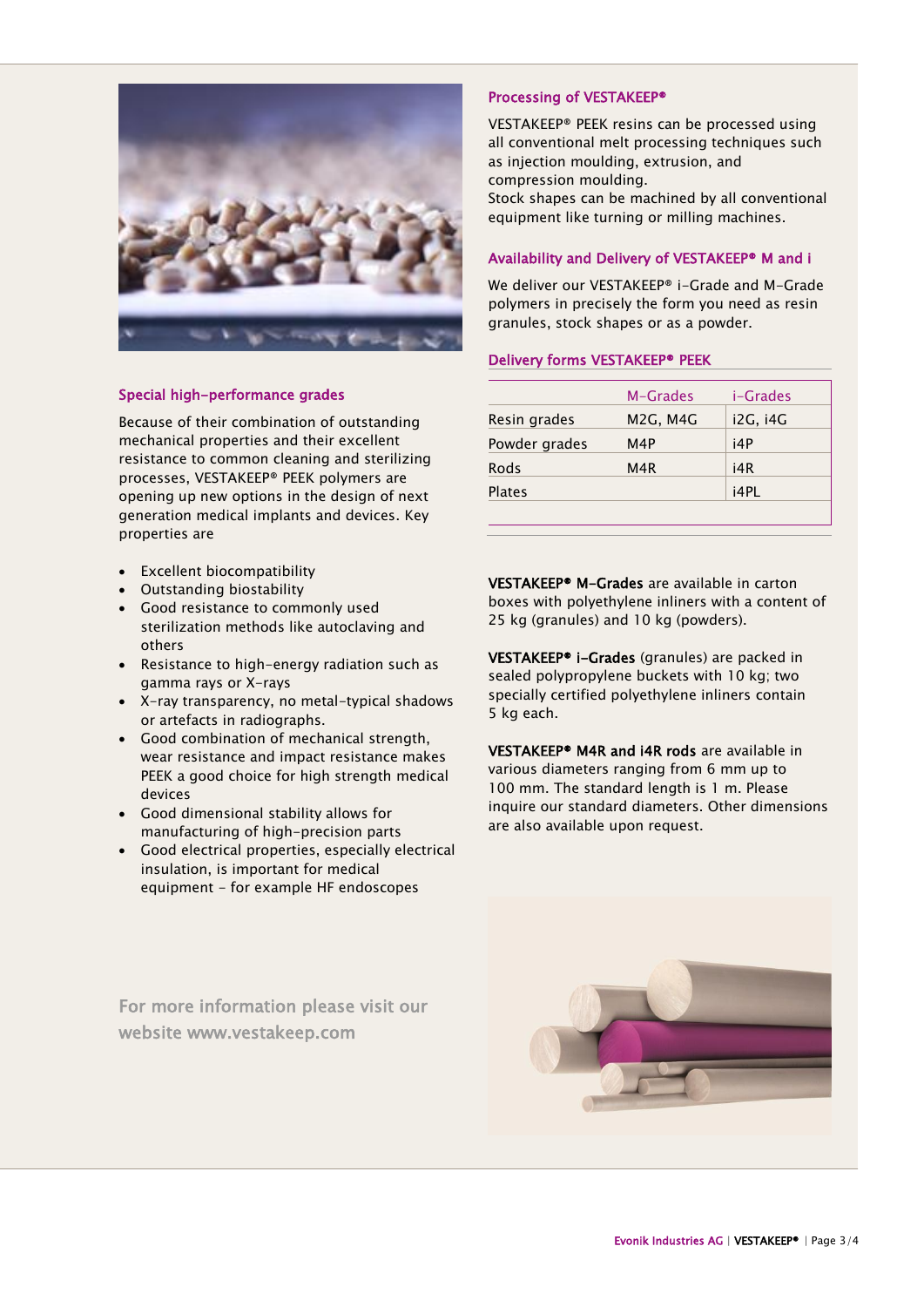

## Special high-performance grades

Because of their combination of outstanding mechanical properties and their excellent resistance to common cleaning and sterilizing processes, VESTAKEEP® PEEK polymers are opening up new options in the design of next generation medical implants and devices. Key properties are

- Excellent biocompatibility
- Outstanding biostability
- Good resistance to commonly used sterilization methods like autoclaving and others
- Resistance to high-energy radiation such as gamma rays or X-rays
- X-ray transparency, no metal-typical shadows or artefacts in radiographs.
- Good combination of mechanical strength, wear resistance and impact resistance makes PEEK a good choice for high strength medical devices
- Good dimensional stability allows for manufacturing of high-precision parts
- Good electrical properties, especially electrical insulation, is important for medical equipment - for example HF endoscopes

For more information please visit our website www.vestakeep.com

## Processing of VESTAKEEP®

VESTAKEEP® PEEK resins can be processed using all conventional melt processing techniques such as injection moulding, extrusion, and compression moulding. Stock shapes can be machined by all conventional equipment like turning or milling machines.

# Availability and Delivery of VESTAKEEP® M and i

We deliver our VESTAKEEP® i-Grade and M-Grade polymers in precisely the form you need as resin granules, stock shapes or as a powder.

## Delivery forms VESTAKEEP® PEEK

| M-Grades                           | i-Grades |
|------------------------------------|----------|
| M <sub>2</sub> G, M <sub>4</sub> G | i2G, i4G |
| M4P                                | i4P      |
| M <sub>4</sub> R                   | i4R      |
|                                    | i4PL     |
|                                    |          |

VESTAKEEP® M-Grades are available in carton boxes with polyethylene inliners with a content of 25 kg (granules) and 10 kg (powders).

VESTAKEEP® i-Grades (granules) are packed in sealed polypropylene buckets with 10 kg; two specially certified polyethylene inliners contain 5 kg each.

VESTAKEEP® M4R and i4R rods are available in various diameters ranging from 6 mm up to 100 mm. The standard length is 1 m. Please inquire our standard diameters. Other dimensions are also available upon request.